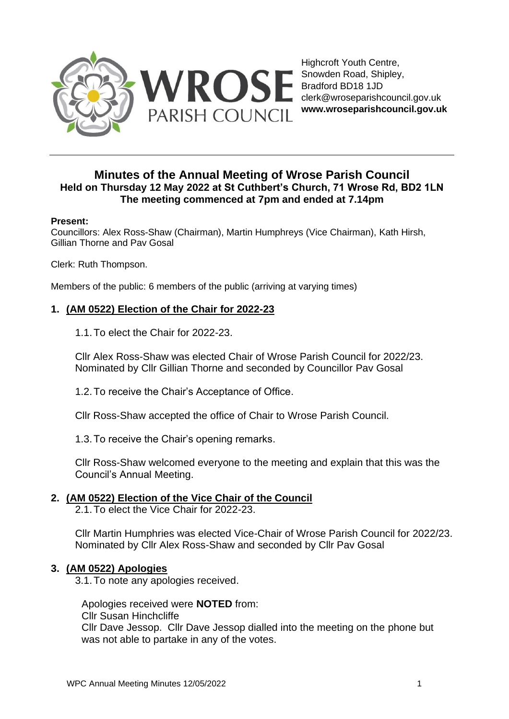

Highcroft Youth Centre, Snowden Road, Shipley, Bradford BD18 1JD clerk@wroseparishcouncil.gov.uk **www.wroseparishcouncil.gov.uk**

# **Minutes of the Annual Meeting of Wrose Parish Council Held on Thursday 12 May 2022 at St Cuthbert's Church, 71 Wrose Rd, BD2 1LN The meeting commenced at 7pm and ended at 7.14pm**

#### **Present:**

Councillors: Alex Ross-Shaw (Chairman), Martin Humphreys (Vice Chairman), Kath Hirsh, Gillian Thorne and Pav Gosal

Clerk: Ruth Thompson.

Members of the public: 6 members of the public (arriving at varying times)

# **1. (AM 0522) Election of the Chair for 2022-23**

1.1.To elect the Chair for 2022-23.

Cllr Alex Ross-Shaw was elected Chair of Wrose Parish Council for 2022/23. Nominated by Cllr Gillian Thorne and seconded by Councillor Pav Gosal

1.2.To receive the Chair's Acceptance of Office.

Cllr Ross-Shaw accepted the office of Chair to Wrose Parish Council.

1.3.To receive the Chair's opening remarks.

Cllr Ross-Shaw welcomed everyone to the meeting and explain that this was the Council's Annual Meeting.

## **2. (AM 0522) Election of the Vice Chair of the Council**

2.1.To elect the Vice Chair for 2022-23.

Cllr Martin Humphries was elected Vice-Chair of Wrose Parish Council for 2022/23. Nominated by Cllr Alex Ross-Shaw and seconded by Cllr Pav Gosal

## **3. (AM 0522) Apologies**

3.1.To note any apologies received.

Apologies received were **NOTED** from:

Cllr Susan Hinchcliffe

Cllr Dave Jessop. Cllr Dave Jessop dialled into the meeting on the phone but was not able to partake in any of the votes.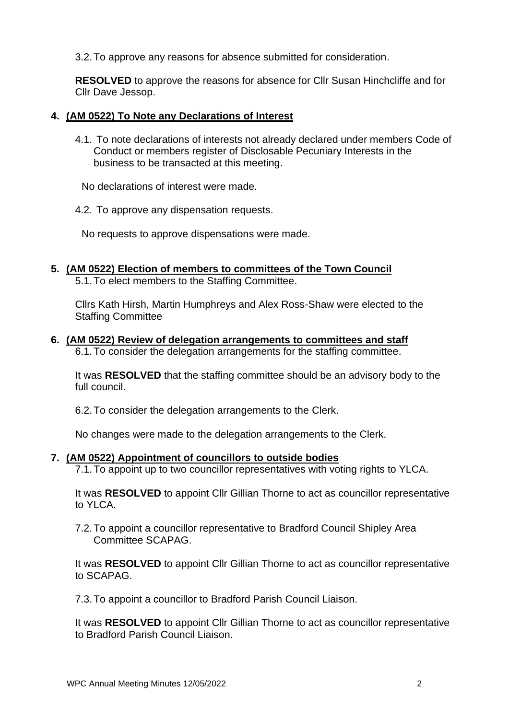3.2.To approve any reasons for absence submitted for consideration.

**RESOLVED** to approve the reasons for absence for Cllr Susan Hinchcliffe and for Cllr Dave Jessop.

#### **4. (AM 0522) To Note any Declarations of Interest**

4.1. To note declarations of interests not already declared under members Code of Conduct or members register of Disclosable Pecuniary Interests in the business to be transacted at this meeting.

No declarations of interest were made.

4.2. To approve any dispensation requests.

No requests to approve dispensations were made.

## **5. (AM 0522) Election of members to committees of the Town Council**

5.1.To elect members to the Staffing Committee.

Cllrs Kath Hirsh, Martin Humphreys and Alex Ross-Shaw were elected to the Staffing Committee

## **6. (AM 0522) Review of delegation arrangements to committees and staff**

6.1.To consider the delegation arrangements for the staffing committee.

It was **RESOLVED** that the staffing committee should be an advisory body to the full council.

6.2.To consider the delegation arrangements to the Clerk.

No changes were made to the delegation arrangements to the Clerk.

#### **7. (AM 0522) Appointment of councillors to outside bodies**

7.1.To appoint up to two councillor representatives with voting rights to YLCA.

It was **RESOLVED** to appoint Cllr Gillian Thorne to act as councillor representative to YLCA.

7.2.To appoint a councillor representative to Bradford Council Shipley Area Committee SCAPAG.

It was **RESOLVED** to appoint Cllr Gillian Thorne to act as councillor representative to SCAPAG.

7.3.To appoint a councillor to Bradford Parish Council Liaison.

It was **RESOLVED** to appoint Cllr Gillian Thorne to act as councillor representative to Bradford Parish Council Liaison.